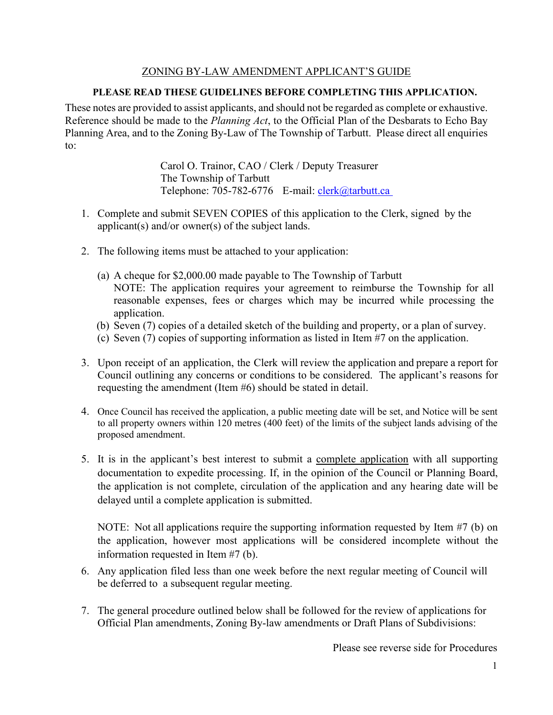## ZONING BY-LAW AMENDMENT APPLICANT'S GUIDE

# **PLEASE READ THESE GUIDELINES BEFORE COMPLETING THIS APPLICATION.**

These notes are provided to assist applicants, and should not be regarded as complete or exhaustive. Reference should be made to the *Planning Act*, to the Official Plan of the Desbarats to Echo Bay Planning Area, and to the Zoning By-Law of The Township of Tarbutt. Please direct all enquiries to:

> Carol O. Trainor, CAO / Clerk / Deputy Treasurer The Township of Tarbutt Telephone: 705-782-6776 E-mail: [clerk@tarbutt.ca](mailto:clerk@tarbutt.ca)

- 1. Complete and submit SEVEN COPIES of this application to the Clerk, signed by the applicant(s) and/or owner(s) of the subject lands.
- 2. The following items must be attached to your application:
	- (a) A cheque for \$2,000.00 made payable to The Township of Tarbutt NOTE: The application requires your agreement to reimburse the Township for all reasonable expenses, fees or charges which may be incurred while processing the application.
	- (b) Seven (7) copies of a detailed sketch of the building and property, or a plan of survey.
	- (c) Seven (7) copies of supporting information as listed in Item #7 on the application.
- 3. Upon receipt of an application, the Clerk will review the application and prepare a report for Council outlining any concerns or conditions to be considered. The applicant's reasons for requesting the amendment (Item #6) should be stated in detail.
- 4. Once Council has received the application, a public meeting date will be set, and Notice will be sent to all property owners within 120 metres (400 feet) of the limits of the subject lands advising of the proposed amendment.
- 5. It is in the applicant's best interest to submit a complete application with all supporting documentation to expedite processing. If, in the opinion of the Council or Planning Board, the application is not complete, circulation of the application and any hearing date will be delayed until a complete application is submitted.

NOTE: Not all applications require the supporting information requested by Item #7 (b) on the application, however most applications will be considered incomplete without the information requested in Item #7 (b).

- 6. Any application filed less than one week before the next regular meeting of Council will be deferred to a subsequent regular meeting.
- 7. The general procedure outlined below shall be followed for the review of applications for Official Plan amendments, Zoning By-law amendments or Draft Plans of Subdivisions:

Please see reverse side for Procedures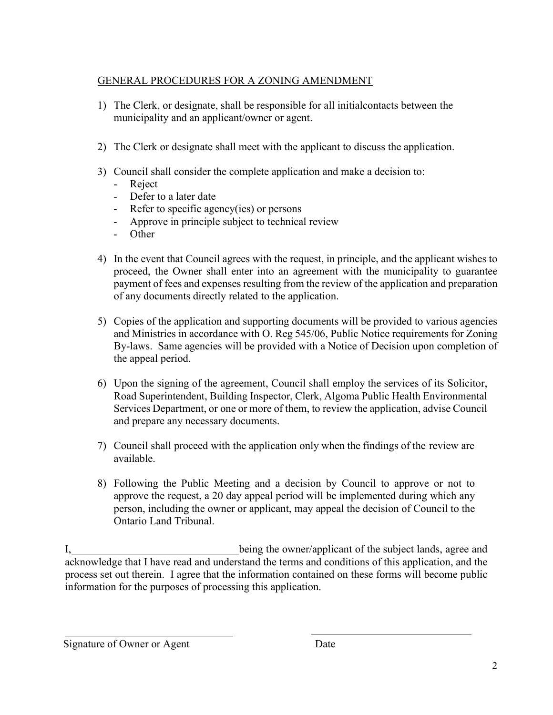# GENERAL PROCEDURES FOR A ZONING AMENDMENT

- 1) The Clerk, or designate, shall be responsible for all initialcontacts between the municipality and an applicant/owner or agent.
- 2) The Clerk or designate shall meet with the applicant to discuss the application.
- 3) Council shall consider the complete application and make a decision to:
	- Reject
	- Defer to a later date
	- Refer to specific agency(ies) or persons
	- Approve in principle subject to technical review
	- Other
- 4) In the event that Council agrees with the request, in principle, and the applicant wishes to proceed, the Owner shall enter into an agreement with the municipality to guarantee payment of fees and expenses resulting from the review of the application and preparation of any documents directly related to the application.
- 5) Copies of the application and supporting documents will be provided to various agencies and Ministries in accordance with O. Reg 545/06, Public Notice requirements for Zoning By-laws. Same agencies will be provided with a Notice of Decision upon completion of the appeal period.
- 6) Upon the signing of the agreement, Council shall employ the services of its Solicitor, Road Superintendent, Building Inspector, Clerk, Algoma Public Health Environmental Services Department, or one or more of them, to review the application, advise Council and prepare any necessary documents.
- 7) Council shall proceed with the application only when the findings of the review are available.
- 8) Following the Public Meeting and a decision by Council to approve or not to approve the request, a 20 day appeal period will be implemented during which any person, including the owner or applicant, may appeal the decision of Council to the Ontario Land Tribunal.

I, 1. **I** being the owner/applicant of the subject lands, agree and acknowledge that I have read and understand the terms and conditions of this application, and the process set out therein. I agree that the information contained on these forms will become public information for the purposes of processing this application.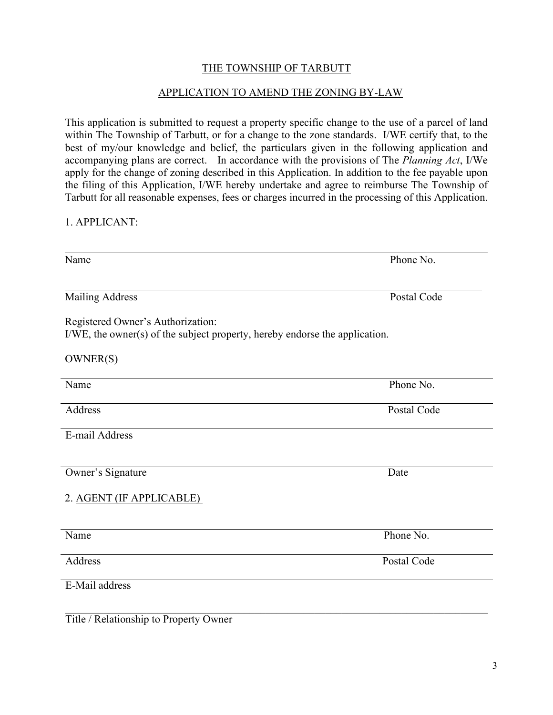## THE TOWNSHIP OF TARBUTT

#### APPLICATION TO AMEND THE ZONING BY-LAW

This application is submitted to request a property specific change to the use of a parcel of land within The Township of Tarbutt, or for a change to the zone standards. I/WE certify that, to the best of my/our knowledge and belief, the particulars given in the following application and accompanying plans are correct. In accordance with the provisions of The *Planning Act*, I/We apply for the change of zoning described in this Application. In addition to the fee payable upon the filing of this Application, I/WE hereby undertake and agree to reimburse The Township of Tarbutt for all reasonable expenses, fees or charges incurred in the processing of this Application.

#### 1. APPLICANT:

| Name                                                                                                             | Phone No.   |
|------------------------------------------------------------------------------------------------------------------|-------------|
| <b>Mailing Address</b>                                                                                           | Postal Code |
| Registered Owner's Authorization:<br>I/WE, the owner(s) of the subject property, hereby endorse the application. |             |
| OWNER(S)                                                                                                         |             |
| Name                                                                                                             | Phone No.   |
| Address                                                                                                          | Postal Code |
| E-mail Address                                                                                                   |             |
| Owner's Signature                                                                                                | Date        |
| 2. AGENT (IF APPLICABLE)                                                                                         |             |
| Name                                                                                                             | Phone No.   |
| Address                                                                                                          | Postal Code |
| E-Mail address                                                                                                   |             |
|                                                                                                                  |             |

Title / Relationship to Property Owner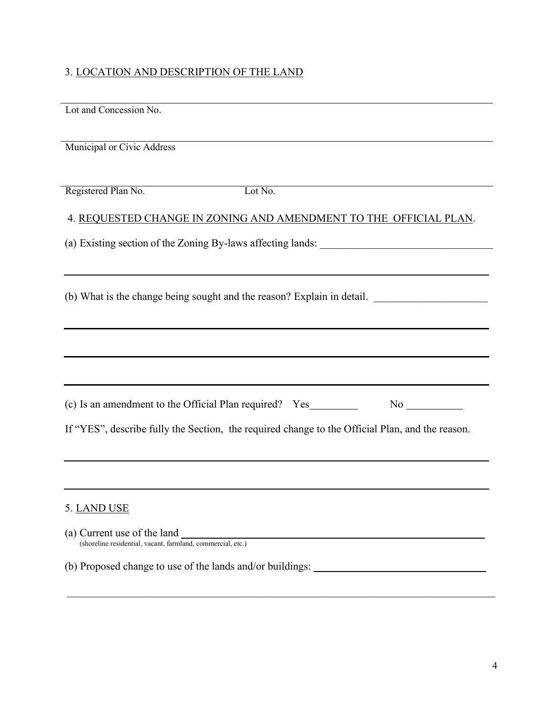# 3. LOCATION AND DESCRIPTION OF THE LAND

| Lot and Concession No.                                                                          |  |  |
|-------------------------------------------------------------------------------------------------|--|--|
| Municipal or Civic Address                                                                      |  |  |
| Registered Plan No.<br>Lot No.                                                                  |  |  |
| 4. REQUESTED CHANGE IN ZONING AND AMENDMENT TO THE OFFICIAL PLAN.                               |  |  |
|                                                                                                 |  |  |
| (b) What is the change being sought and the reason? Explain in detail.                          |  |  |
|                                                                                                 |  |  |
|                                                                                                 |  |  |
| (c) Is an amendment to the Official Plan required? Yes___________________________               |  |  |
| If "YES", describe fully the Section, the required change to the Official Plan, and the reason. |  |  |
|                                                                                                 |  |  |
| 5. LAND USE                                                                                     |  |  |
| (a) Current use of the land<br>(shoreline residential, vacant, farmland, commercial, etc.)      |  |  |
| (b) Proposed change to use of the lands and/or buildings:                                       |  |  |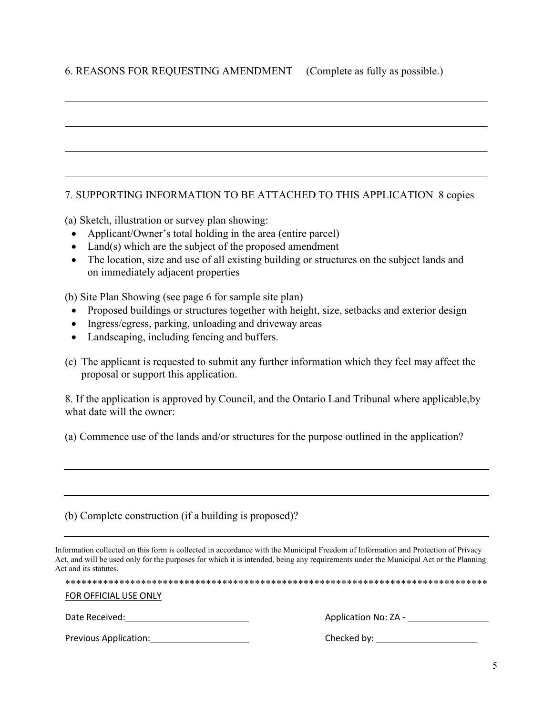# 6. REASONS FOR REQUESTING AMENDMENT (Complete as fully as possible.)

## 7. SUPPORTING INFORMATION TO BE ATTACHED TO THIS APPLICATION 8 copies

(a) Sketch, illustration or survey plan showing:

- Applicant/Owner's total holding in the area (entire parcel)
- Land(s) which are the subject of the proposed amendment
- The location, size and use of all existing building or structures on the subject lands and on immediately adjacent properties

(b) Site Plan Showing (see page 6 for sample site plan)

- Proposed buildings or structures together with height, size, setbacks and exterior design
- Ingress/egress, parking, unloading and driveway areas
- Landscaping, including fencing and buffers.
- (c) The applicant is requested to submit any further information which they feel may affect the proposal or support this application.

8. If the application is approved by Council, and the Ontario Land Tribunal where applicable, by what date will the owner:

(a) Commence use of the lands and/or structures for the purpose outlined in the application?

(b) Complete construction (if a building is proposed)?

Information collected on this form is collected in accordance with the Municipal Freedom of Information and Protection of Privacy Act, and will be used only for the purposes for which it is intended, being any requirements under the Municipal Act or the Planning Act and its statutes.

| FOR OFFICIAL USE ONLY |                      |
|-----------------------|----------------------|
| Date Received:        | Application No: ZA - |
| Previous Application: | Checked by:          |